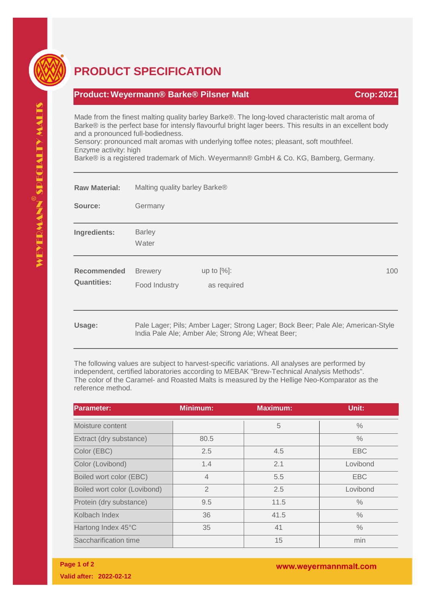

## **PRODUCT SPECIFICATION**

## **Product:Weyermann® Barke® Pilsner Malt Crop:2021**

Made from the finest malting quality barley Barke®. The long-loved characteristic malt aroma of Barke® is the perfect base for intensly flavourful bright lager beers. This results in an excellent body and a pronounced full-bodiedness.

Sensory: pronounced malt aromas with underlying toffee notes; pleasant, soft mouthfeel. Enzyme activity: high

Barke® is a registered trademark of Mich. Weyermann® GmbH & Co. KG, Bamberg, Germany.

| <b>Raw Material:</b>                     | Malting quality barley Barke®   |                                                                                                                                        |  |     |
|------------------------------------------|---------------------------------|----------------------------------------------------------------------------------------------------------------------------------------|--|-----|
| Source:                                  | Germany                         |                                                                                                                                        |  |     |
| Ingredients:                             | <b>Barley</b><br>Water          |                                                                                                                                        |  |     |
| <b>Recommended</b><br><b>Quantities:</b> | <b>Brewery</b><br>Food Industry | up to $[%]$ :<br>as required                                                                                                           |  | 100 |
| Usage:                                   |                                 | Pale Lager; Pils; Amber Lager; Strong Lager; Bock Beer; Pale Ale; American-Style<br>India Pale Ale; Amber Ale; Strong Ale; Wheat Beer; |  |     |

The following values are subject to harvest-specific variations. All analyses are performed by independent, certified laboratories according to MEBAK "Brew-Technical Analysis Methods". The color of the Caramel- and Roasted Malts is measured by the Hellige Neo-Komparator as the reference method.

| <b>Parameter:</b>            | <b>Minimum:</b> | <b>Maximum:</b> | Unit:         |
|------------------------------|-----------------|-----------------|---------------|
| Moisture content             |                 | 5               | $\frac{0}{0}$ |
| Extract (dry substance)      | 80.5            |                 | $\%$          |
| Color (EBC)                  | 2.5             | 4.5             | <b>EBC</b>    |
| Color (Lovibond)             | 1.4             | 2.1             | Lovibond      |
| Boiled wort color (EBC)      | $\overline{4}$  | 5.5             | <b>EBC</b>    |
| Boiled wort color (Lovibond) | $\mathfrak{D}$  | 2.5             | Lovibond      |
| Protein (dry substance)      | 9.5             | 11.5            | $\%$          |
| Kolbach Index                | 36              | 41.5            | $\frac{0}{0}$ |
| Hartong Index 45°C           | 35              | 41              | $\%$          |
| Saccharification time        |                 | 15              | min           |